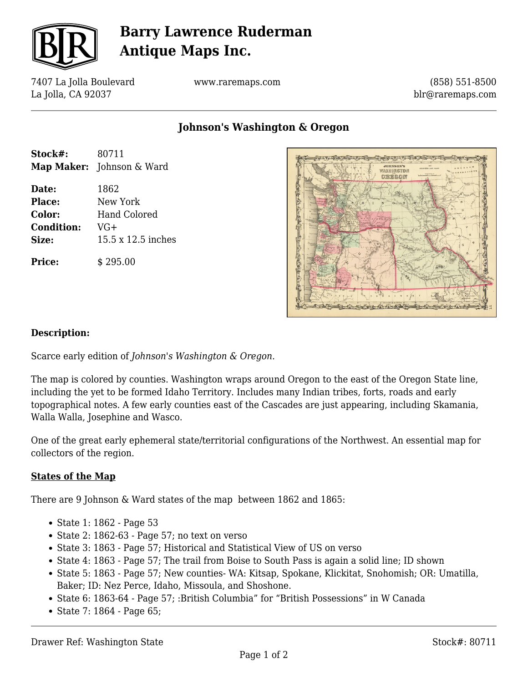

# **Barry Lawrence Ruderman Antique Maps Inc.**

7407 La Jolla Boulevard La Jolla, CA 92037

www.raremaps.com

(858) 551-8500 blr@raremaps.com

### **Johnson's Washington & Oregon**

| Stock#:           | 80711                            |
|-------------------|----------------------------------|
|                   | <b>Map Maker:</b> Johnson & Ward |
| Date:             | 1862                             |
| Place:            | New York                         |
| Color:            | Hand Colored                     |
| <b>Condition:</b> | $VG+$                            |
| Size:             | 15.5 x 12.5 inches               |
| <b>Price:</b>     | \$295.00                         |



#### **Description:**

Scarce early edition of *Johnson's Washington & Oregon.*

The map is colored by counties. Washington wraps around Oregon to the east of the Oregon State line, including the yet to be formed Idaho Territory. Includes many Indian tribes, forts, roads and early topographical notes. A few early counties east of the Cascades are just appearing, including Skamania, Walla Walla, Josephine and Wasco.

One of the great early ephemeral state/territorial configurations of the Northwest. An essential map for collectors of the region.

#### **States of the Map**

There are 9 Johnson & Ward states of the map between 1862 and 1865:

- State 1: 1862 Page 53
- $\bullet$  State 2: 1862-63 Page 57; no text on verso
- State 3: 1863 Page 57; Historical and Statistical View of US on verso
- State 4: 1863 Page 57; The trail from Boise to South Pass is again a solid line; ID shown
- State 5: 1863 Page 57; New counties- WA: Kitsap, Spokane, Klickitat, Snohomish; OR: Umatilla, Baker; ID: Nez Perce, Idaho, Missoula, and Shoshone.
- State 6: 1863-64 Page 57; :British Columbia" for "British Possessions" in W Canada
- State 7: 1864 Page 65;